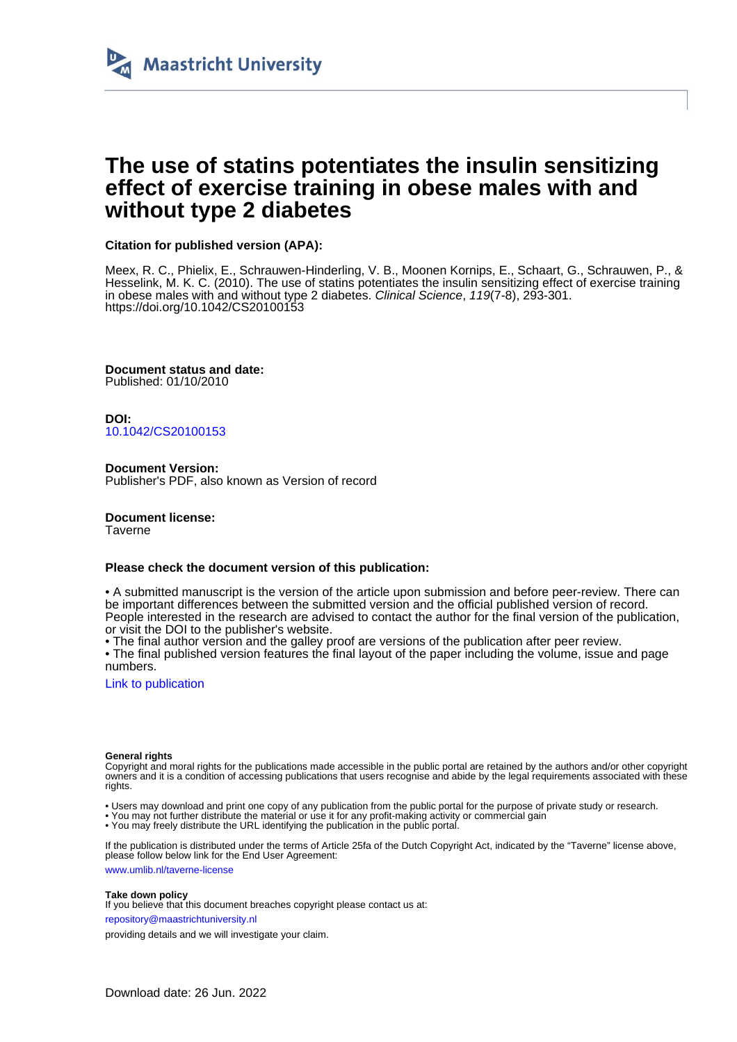

## **The use of statins potentiates the insulin sensitizing effect of exercise training in obese males with and without type 2 diabetes**

## **Citation for published version (APA):**

Meex, R. C., Phielix, E., Schrauwen-Hinderling, V. B., Moonen Kornips, E., Schaart, G., Schrauwen, P., & Hesselink, M. K. C. (2010). The use of statins potentiates the insulin sensitizing effect of exercise training in obese males with and without type 2 diabetes. Clinical Science, 119(7-8), 293-301. <https://doi.org/10.1042/CS20100153>

**Document status and date:** Published: 01/10/2010

**DOI:** [10.1042/CS20100153](https://doi.org/10.1042/CS20100153)

**Document Version:** Publisher's PDF, also known as Version of record

**Document license:** Taverne

#### **Please check the document version of this publication:**

• A submitted manuscript is the version of the article upon submission and before peer-review. There can be important differences between the submitted version and the official published version of record. People interested in the research are advised to contact the author for the final version of the publication, or visit the DOI to the publisher's website.

• The final author version and the galley proof are versions of the publication after peer review.

• The final published version features the final layout of the paper including the volume, issue and page numbers.

[Link to publication](https://cris.maastrichtuniversity.nl/en/publications/f1f8209c-969d-4169-b234-094c99659a40)

#### **General rights**

Copyright and moral rights for the publications made accessible in the public portal are retained by the authors and/or other copyright owners and it is a condition of accessing publications that users recognise and abide by the legal requirements associated with these rights.

- Users may download and print one copy of any publication from the public portal for the purpose of private study or research.
- You may not further distribute the material or use it for any profit-making activity or commercial gain
- You may freely distribute the URL identifying the publication in the public portal.

If the publication is distributed under the terms of Article 25fa of the Dutch Copyright Act, indicated by the "Taverne" license above, please follow below link for the End User Agreement:

www.umlib.nl/taverne-license

#### **Take down policy**

If you believe that this document breaches copyright please contact us at:

repository@maastrichtuniversity.nl

providing details and we will investigate your claim.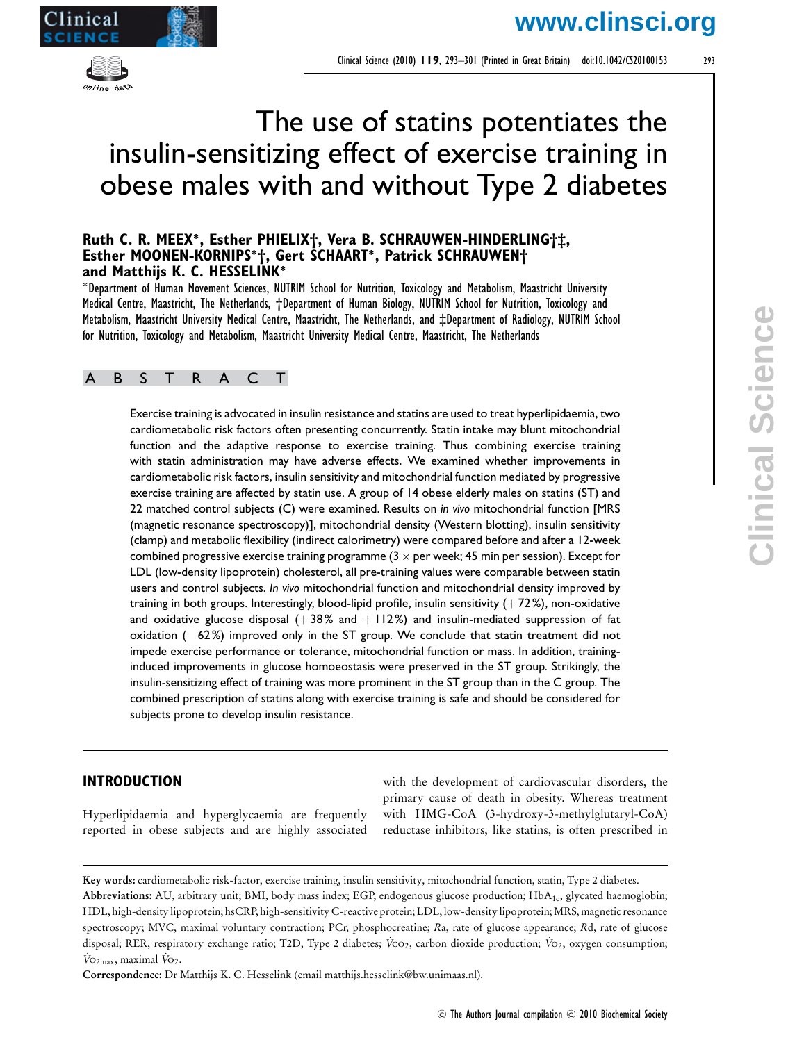# The use of statins potentiates the insulin-sensitizing effect of exercise training in obese males with and without Type 2 diabetes

## **Ruth C. R. MEEX∗, Esther PHIELIX†, Vera B. SCHRAUWEN-HINDERLING†‡, Esther MOONEN-KORNIPS∗†, Gert SCHAART∗, Patrick SCHRAUWEN† and Matthijs K. C. HESSELINK<sup>∗</sup>**

<sup>∗</sup>Department of Human Movement Sciences, NUTRIM School for Nutrition, Toxicology and Metabolism, Maastricht University Medical Centre, Maastricht, The Netherlands, †Department of Human Biology, NUTRIM School for Nutrition, Toxicology and Metabolism, Maastricht University Medical Centre, Maastricht, The Netherlands, and ‡Department of Radiology, NUTRIM School for Nutrition, Toxicology and Metabolism, Maastricht University Medical Centre, Maastricht, The Netherlands

## ABSTRACT

linical

online dat

Exercise training is advocated in insulin resistance and statins are used to treat hyperlipidaemia, two cardiometabolic risk factors often presenting concurrently. Statin intake may blunt mitochondrial function and the adaptive response to exercise training. Thus combining exercise training with statin administration may have adverse effects. We examined whether improvements in cardiometabolic risk factors, insulin sensitivity and mitochondrial function mediated by progressive exercise training are affected by statin use. A group of 14 obese elderly males on statins (ST) and 22 matched control subjects (C) were examined. Results on *in vivo* mitochondrial function [MRS (magnetic resonance spectroscopy)], mitochondrial density (Western blotting), insulin sensitivity (clamp) and metabolic flexibility (indirect calorimetry) were compared before and after a 12-week combined progressive exercise training programme  $(3 \times$  per week; 45 min per session). Except for LDL (low-density lipoprotein) cholesterol, all pre-training values were comparable between statin users and control subjects. *In vivo* mitochondrial function and mitochondrial density improved by training in both groups. Interestingly, blood-lipid profile, insulin sensitivity  $(+72%)$ , non-oxidative and oxidative glucose disposal  $(+38\%$  and  $+112\%)$  and insulin-mediated suppression of fat oxidation (−62 %) improved only in the ST group. We conclude that statin treatment did not impede exercise performance or tolerance, mitochondrial function or mass. In addition, traininginduced improvements in glucose homoeostasis were preserved in the ST group. Strikingly, the insulin-sensitizing effect of training was more prominent in the ST group than in the C group. The combined prescription of statins along with exercise training is safe and should be considered for subjects prone to develop insulin resistance.

## **INTRODUCTION**

Hyperlipidaemia and hyperglycaemia are frequently reported in obese subjects and are highly associated with the development of cardiovascular disorders, the primary cause of death in obesity. Whereas treatment with HMG-CoA (3-hydroxy-3-methylglutaryl-CoA) reductase inhibitors, like statins, is often prescribed in

**Correspondence:** Dr Matthijs K. C. Hesselink (email matthijs.hesselink@bw.unimaas.nl).

**Key words:** cardiometabolic risk-factor, exercise training, insulin sensitivity, mitochondrial function, statin, Type 2 diabetes.

**Abbreviations:** AU, arbitrary unit; BMI, body mass index; EGP, endogenous glucose production; HbA1c, glycated haemoglobin; HDL, high-density lipoprotein; hsCRP, high-sensitivity C-reactive protein; LDL, low-density lipoprotein; MRS, magnetic resonance spectroscopy; MVC, maximal voluntary contraction; PCr, phosphocreatine; *R*a, rate of glucose appearance; *R*d, rate of glucose disposal; RER, respiratory exchange ratio; T2D, Type 2 diabetes;  $V$ co<sub>2</sub>, carbon dioxide production;  $V$ o<sub>2</sub>, oxygen consumption; *V*<sup>O</sup><sub>2max</sub>, maximal *V*<sup>O</sup><sub>2</sub>.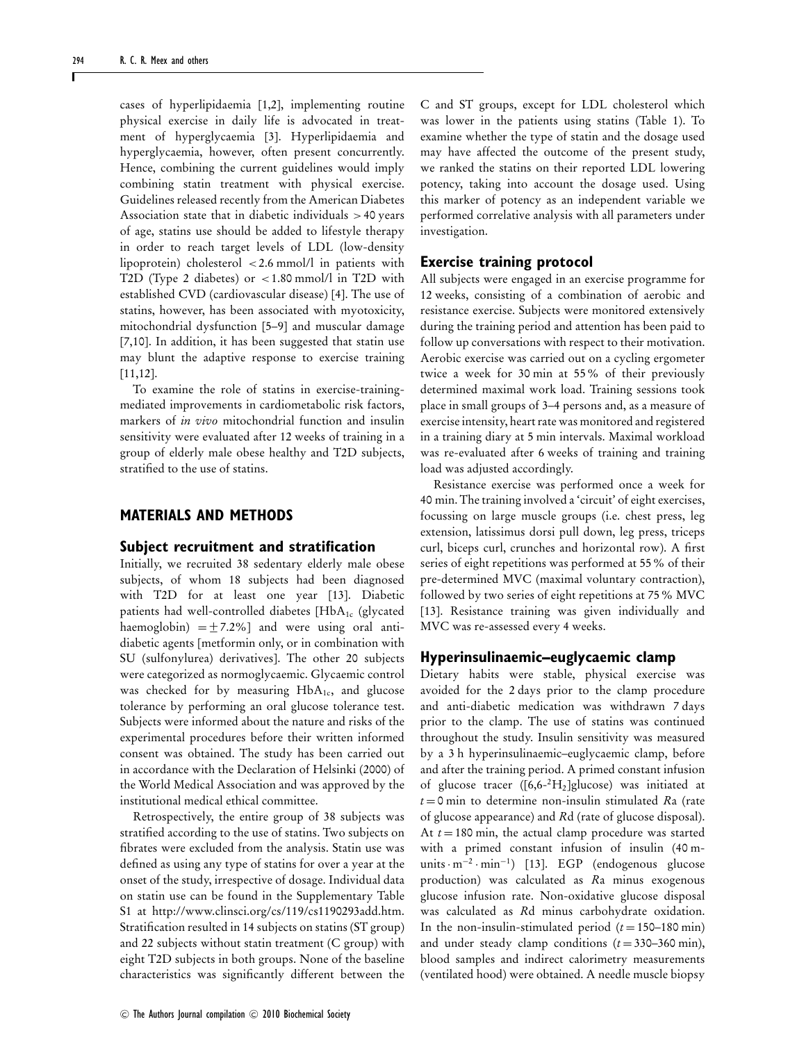cases of hyperlipidaemia [1,2], implementing routine physical exercise in daily life is advocated in treatment of hyperglycaemia [3]. Hyperlipidaemia and hyperglycaemia, however, often present concurrently. Hence, combining the current guidelines would imply combining statin treatment with physical exercise. Guidelines released recently from the American Diabetes Association state that in diabetic individuals >40 years of age, statins use should be added to lifestyle therapy in order to reach target levels of LDL (low-density lipoprotein) cholesterol <2.6 mmol/l in patients with T2D (Type 2 diabetes) or <1.80 mmol/l in T2D with established CVD (cardiovascular disease) [4]. The use of statins, however, has been associated with myotoxicity, mitochondrial dysfunction [5–9] and muscular damage [7,10]. In addition, it has been suggested that statin use may blunt the adaptive response to exercise training [11,12].

To examine the role of statins in exercise-trainingmediated improvements in cardiometabolic risk factors, markers of *in vivo* mitochondrial function and insulin sensitivity were evaluated after 12 weeks of training in a group of elderly male obese healthy and T2D subjects, stratified to the use of statins.

#### **MATERIALS AND METHODS**

#### **Subject recruitment and stratification**

Initially, we recruited 38 sedentary elderly male obese subjects, of whom 18 subjects had been diagnosed with T2D for at least one year [13]. Diabetic patients had well-controlled diabetes [HbA<sub>1c</sub> (glycated haemoglobin) =  $\pm$  7.2%] and were using oral antidiabetic agents [metformin only, or in combination with SU (sulfonylurea) derivatives]. The other 20 subjects were categorized as normoglycaemic. Glycaemic control was checked for by measuring  $HbA_{1c}$ , and glucose tolerance by performing an oral glucose tolerance test. Subjects were informed about the nature and risks of the experimental procedures before their written informed consent was obtained. The study has been carried out in accordance with the Declaration of Helsinki (2000) of the World Medical Association and was approved by the institutional medical ethical committee.

Retrospectively, the entire group of 38 subjects was stratified according to the use of statins. Two subjects on fibrates were excluded from the analysis. Statin use was defined as using any type of statins for over a year at the onset of the study, irrespective of dosage. Individual data on statin use can be found in the Supplementary Table S1 at http://www.clinsci.org/cs/119/cs1190293add.htm. Stratification resulted in 14 subjects on statins (ST group) and 22 subjects without statin treatment (C group) with eight T2D subjects in both groups. None of the baseline characteristics was significantly different between the

C and ST groups, except for LDL cholesterol which was lower in the patients using statins (Table 1). To examine whether the type of statin and the dosage used may have affected the outcome of the present study, we ranked the statins on their reported LDL lowering potency, taking into account the dosage used. Using this marker of potency as an independent variable we performed correlative analysis with all parameters under investigation.

#### **Exercise training protocol**

All subjects were engaged in an exercise programme for 12 weeks, consisting of a combination of aerobic and resistance exercise. Subjects were monitored extensively during the training period and attention has been paid to follow up conversations with respect to their motivation. Aerobic exercise was carried out on a cycling ergometer twice a week for 30 min at 55% of their previously determined maximal work load. Training sessions took place in small groups of 3–4 persons and, as a measure of exercise intensity, heart rate was monitored and registered in a training diary at 5 min intervals. Maximal workload was re-evaluated after 6 weeks of training and training load was adjusted accordingly.

Resistance exercise was performed once a week for 40 min. The training involved a 'circuit' of eight exercises, focussing on large muscle groups (i.e. chest press, leg extension, latissimus dorsi pull down, leg press, triceps curl, biceps curl, crunches and horizontal row). A first series of eight repetitions was performed at 55% of their pre-determined MVC (maximal voluntary contraction), followed by two series of eight repetitions at 75% MVC [13]. Resistance training was given individually and MVC was re-assessed every 4 weeks.

## **Hyperinsulinaemic–euglycaemic clamp**

Dietary habits were stable, physical exercise was avoided for the 2 days prior to the clamp procedure and anti-diabetic medication was withdrawn 7 days prior to the clamp. The use of statins was continued throughout the study. Insulin sensitivity was measured by a 3 h hyperinsulinaemic–euglycaemic clamp, before and after the training period. A primed constant infusion of glucose tracer  $([6,6^{-2}H_2]$ glucose) was initiated at *t* = 0 min to determine non-insulin stimulated *R*a (rate of glucose appearance) and *R*d (rate of glucose disposal). At  $t = 180$  min, the actual clamp procedure was started with a primed constant infusion of insulin (40 munits· m−<sup>2</sup> · min−1) [13]. EGP (endogenous glucose production) was calculated as *R*a minus exogenous glucose infusion rate. Non-oxidative glucose disposal was calculated as *R*d minus carbohydrate oxidation. In the non-insulin-stimulated period  $(t = 150-180 \text{ min})$ and under steady clamp conditions  $(t = 330-360 \text{ min})$ , blood samples and indirect calorimetry measurements (ventilated hood) were obtained. A needle muscle biopsy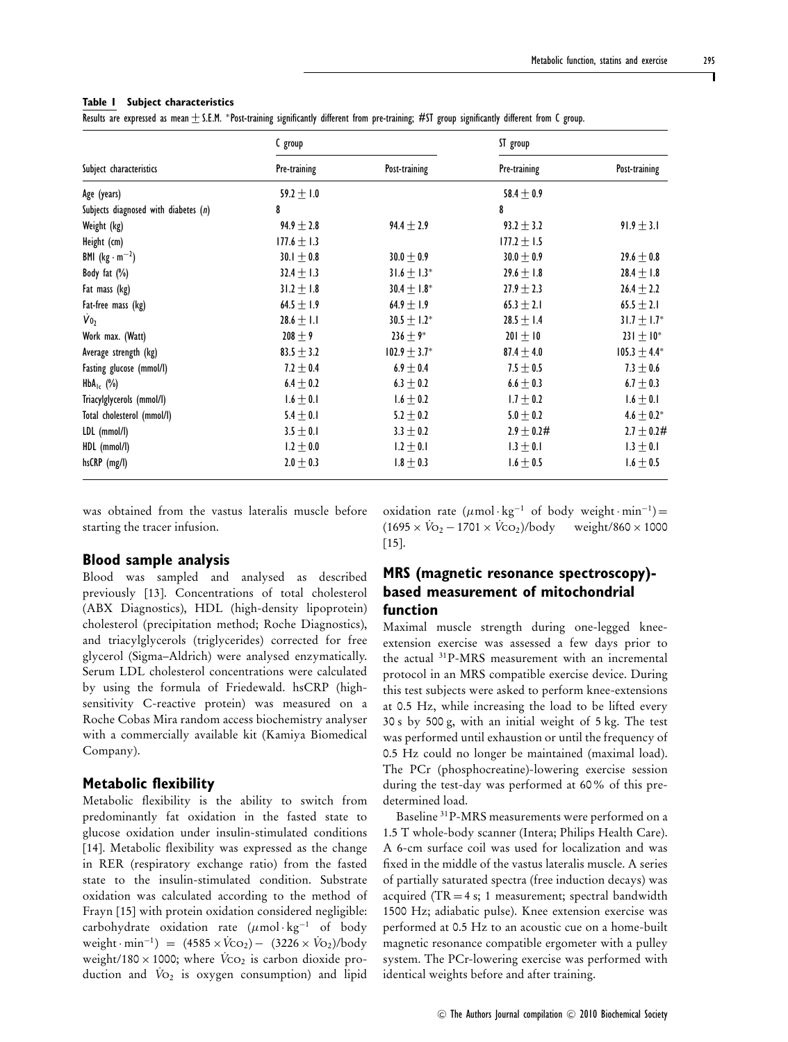#### **Table 1 Subject characteristics**

Results are expressed as mean ± S.E.M. \*Post-training significantly different from pre-training; #ST group significantly different from C group.

|                                        | C group         |                   | ST group        |                  |
|----------------------------------------|-----------------|-------------------|-----------------|------------------|
| Subject characteristics                | Pre-training    | Post-training     | Pre-training    | Post-training    |
| Age (years)                            | $59.2 \pm 1.0$  |                   | $58.4 \pm 0.9$  |                  |
| Subjects diagnosed with diabetes $(n)$ | 8               |                   | 8               |                  |
| Weight (kg)                            | $94.9 \pm 2.8$  | $94.4 \pm 2.9$    | $93.2 \pm 3.2$  | $91.9 \pm 3.1$   |
| Height (cm)                            | $177.6 \pm 1.3$ |                   | $177.2 \pm 1.5$ |                  |
| BMI $(kg \cdot m^{-2})$                | 30.1 $\pm$ 0.8  | $30.0 \pm 0.9$    | $30.0 + 0.9$    | $29.6 \pm 0.8$   |
| Body fat (%)                           | $32.4 \pm 1.3$  | $31.6 \pm 1.3*$   | $29.6 \pm 1.8$  | $28.4 \pm 1.8$   |
| Fat mass (kg)                          | $31.2 \pm 1.8$  | $30.4 \pm 1.8*$   | $27.9 \pm 2.3$  | $26.4 \pm 2.2$   |
| Fat-free mass (kg)                     | 64.5 $\pm$ 1.9  | 64.9 $\pm$ 1.9    | $65.3 \pm 2.1$  | $65.5 \pm 2.1$   |
| $\dot{V}_{0}$                          | $28.6 \pm 1.1$  | 30.5 $\pm$ 1.2*   | $28.5 \pm 1.4$  | $31.7 \pm 1.7^*$ |
| Work max. (Watt)                       | $208 + 9$       | $236 + 9*$        | $201 \pm 10$    | $231 \pm 10^{*}$ |
| Average strength (kg)                  | $83.5 \pm 3.2$  | $102.9 \pm 3.7^*$ | $87.4 \pm 4.0$  | $105.3 \pm 4.4*$ |
| Fasting glucose (mmol/l)               | $7.2 \pm 0.4$   | $6.9 \pm 0.4$     | $7.5 \pm 0.5$   | $7.3 \pm 0.6$    |
| $HbA_1$ (%)                            | $6.4 \pm 0.2$   | $6.3 \pm 0.2$     | $6.6 \pm 0.3$   | $6.7 \pm 0.3$    |
| Triacylglycerols (mmol/l)              | $1.6 \pm 0.1$   | $1.6 \pm 0.2$     | $1.7 \pm 0.2$   | $1.6 \pm 0.1$    |
| Total cholesterol (mmol/l)             | $5.4 \pm 0.1$   | $5.2 \pm 0.2$     | $5.0 \pm 0.2$   | $4.6 \pm 0.2*$   |
| LDL (mmol/l)                           | $3.5 \pm 0.1$   | $3.3 \pm 0.2$     | $2.9 \pm 0.24$  | $2.7 \pm 0.24$   |
| HDL (mmol/l)                           | $1.2 \pm 0.0$   | $1.2 \pm 0.1$     | $1.3 \pm 0.1$   | $1.3 \pm 0.1$    |
| hsCRP (mg/l)                           | $2.0 \pm 0.3$   | $1.8 \pm 0.3$     | $1.6 \pm 0.5$   | $1.6 \pm 0.5$    |

was obtained from the vastus lateralis muscle before starting the tracer infusion.

#### **Blood sample analysis**

Blood was sampled and analysed as described previously [13]. Concentrations of total cholesterol (ABX Diagnostics), HDL (high-density lipoprotein) cholesterol (precipitation method; Roche Diagnostics), and triacylglycerols (triglycerides) corrected for free glycerol (Sigma–Aldrich) were analysed enzymatically. Serum LDL cholesterol concentrations were calculated by using the formula of Friedewald. hsCRP (highsensitivity C-reactive protein) was measured on a Roche Cobas Mira random access biochemistry analyser with a commercially available kit (Kamiya Biomedical Company).

#### **Metabolic flexibility**

Metabolic flexibility is the ability to switch from predominantly fat oxidation in the fasted state to glucose oxidation under insulin-stimulated conditions [14]. Metabolic flexibility was expressed as the change in RER (respiratory exchange ratio) from the fasted state to the insulin-stimulated condition. Substrate oxidation was calculated according to the method of Frayn [15] with protein oxidation considered negligible: carbohydrate oxidation rate  $(\mu \text{mol} \cdot \text{kg}^{-1})$  of body weight · min<sup>-1</sup>) =  $(4585 \times \text{V} \cdot \text{O}_2) - (3226 \times \text{V} \cdot \text{O}_2)/\text{body}$ weight/180  $\times$  1000; where  $\dot{V}$ co<sub>2</sub> is carbon dioxide production and  $\dot{V}o_2$  is oxygen consumption) and lipid oxidation rate ( $\mu$ mol·kg<sup>-1</sup> of body weight·min<sup>-1</sup>) =<br>(1695 × Vo<sub>2</sub> − 1701 × Vco<sub>2</sub>)/body weight/860 × 1000  $(1695 \times \text{Vo}_2 - 1701 \times \text{V}_2\text{Co}_2)/\text{body}$  $[15]$ .

## **MRS (magnetic resonance spectroscopy) based measurement of mitochondrial function**

Maximal muscle strength during one-legged kneeextension exercise was assessed a few days prior to the actual 31P-MRS measurement with an incremental protocol in an MRS compatible exercise device. During this test subjects were asked to perform knee-extensions at 0.5 Hz, while increasing the load to be lifted every 30 s by 500 g, with an initial weight of 5 kg. The test was performed until exhaustion or until the frequency of 0.5 Hz could no longer be maintained (maximal load). The PCr (phosphocreatine)-lowering exercise session during the test-day was performed at 60% of this predetermined load.

Baseline 31P-MRS measurements were performed on a 1.5 T whole-body scanner (Intera; Philips Health Care). A 6-cm surface coil was used for localization and was fixed in the middle of the vastus lateralis muscle. A series of partially saturated spectra (free induction decays) was acquired (TR  $=$  4 s; 1 measurement; spectral bandwidth 1500 Hz; adiabatic pulse). Knee extension exercise was performed at 0.5 Hz to an acoustic cue on a home-built magnetic resonance compatible ergometer with a pulley system. The PCr-lowering exercise was performed with identical weights before and after training.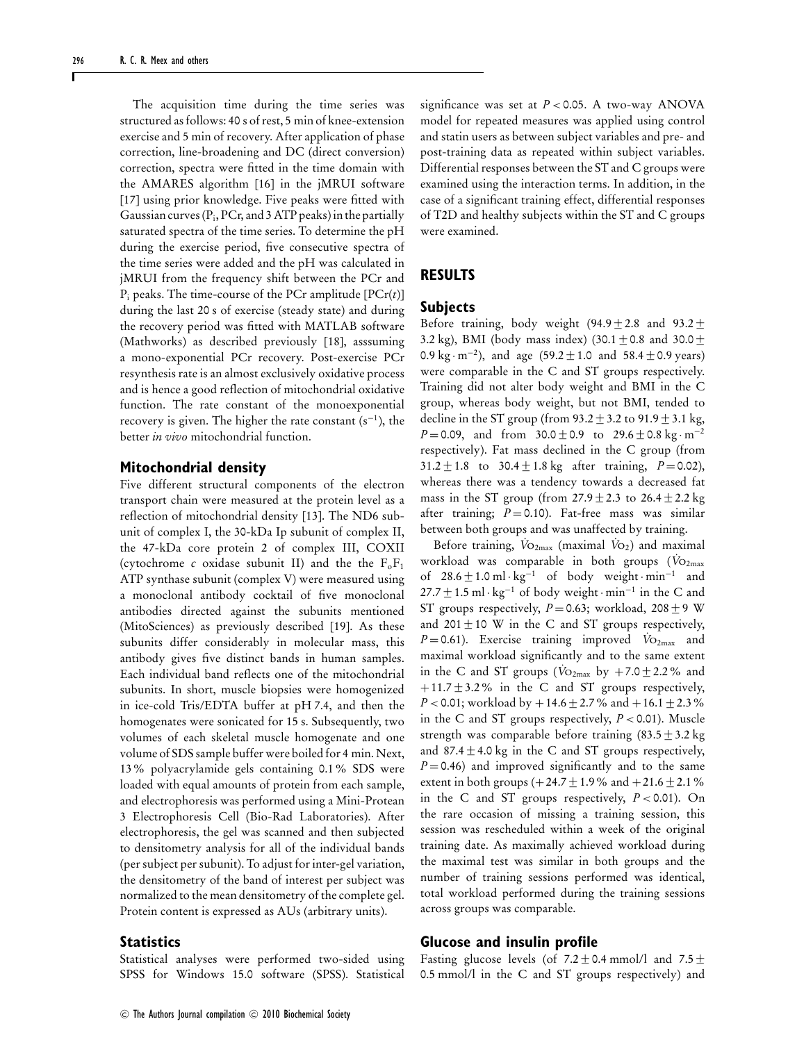The acquisition time during the time series was structured as follows: 40 s of rest, 5 min of knee-extension exercise and 5 min of recovery. After application of phase correction, line-broadening and DC (direct conversion) correction, spectra were fitted in the time domain with the AMARES algorithm [16] in the jMRUI software [17] using prior knowledge. Five peaks were fitted with Gaussian curves (Pi, PCr, and 3 ATP peaks) in the partially saturated spectra of the time series. To determine the pH during the exercise period, five consecutive spectra of the time series were added and the pH was calculated in jMRUI from the frequency shift between the PCr and Pi peaks. The time-course of the PCr amplitude [PCr(*t*)] during the last 20 s of exercise (steady state) and during the recovery period was fitted with MATLAB software (Mathworks) as described previously [18], asssuming a mono-exponential PCr recovery. Post-exercise PCr resynthesis rate is an almost exclusively oxidative process and is hence a good reflection of mitochondrial oxidative function. The rate constant of the monoexponential recovery is given. The higher the rate constant  $(s^{-1})$ , the better *in vivo* mitochondrial function.

### **Mitochondrial density**

Five different structural components of the electron transport chain were measured at the protein level as a reflection of mitochondrial density [13]. The ND6 subunit of complex I, the 30-kDa Ip subunit of complex II, the 47-kDa core protein 2 of complex III, COXII (cytochrome  $c$  oxidase subunit II) and the the  $F_0F_1$ ATP synthase subunit (complex V) were measured using a monoclonal antibody cocktail of five monoclonal antibodies directed against the subunits mentioned (MitoSciences) as previously described [19]. As these subunits differ considerably in molecular mass, this antibody gives five distinct bands in human samples. Each individual band reflects one of the mitochondrial subunits. In short, muscle biopsies were homogenized in ice-cold Tris/EDTA buffer at pH 7.4, and then the homogenates were sonicated for 15 s. Subsequently, two volumes of each skeletal muscle homogenate and one volume of SDS sample buffer were boiled for 4 min. Next, 13% polyacrylamide gels containing 0.1% SDS were loaded with equal amounts of protein from each sample, and electrophoresis was performed using a Mini-Protean 3 Electrophoresis Cell (Bio-Rad Laboratories). After electrophoresis, the gel was scanned and then subjected to densitometry analysis for all of the individual bands (per subject per subunit). To adjust for inter-gel variation, the densitometry of the band of interest per subject was normalized to the mean densitometry of the complete gel. Protein content is expressed as AUs (arbitrary units).

#### **Statistics**

Statistical analyses were performed two-sided using SPSS for Windows 15.0 software (SPSS). Statistical significance was set at *P* < 0.05. A two-way ANOVA model for repeated measures was applied using control and statin users as between subject variables and pre- and post-training data as repeated within subject variables. Differential responses between the ST and C groups were examined using the interaction terms. In addition, in the case of a significant training effect, differential responses of T2D and healthy subjects within the ST and C groups were examined.

## **RESULTS**

#### **Subjects**

Before training, body weight (94.9 ± 2.8 and 93.2 ± 3.2 kg), BMI (body mass index) (30.1 ± 0.8 and 30.0 ± 0.9 kg · m<sup>−2</sup>), and age (59.2 ± 1.0 and 58.4 ± 0.9 years) were comparable in the C and ST groups respectively. Training did not alter body weight and BMI in the C group, whereas body weight, but not BMI, tended to decline in the ST group (from  $93.2 \pm 3.2$  to  $91.9 \pm 3.1$  kg, *P* = 0.09, and from  $30.0 \pm 0.9$  to  $29.6 \pm 0.8$  kg·m<sup>-2</sup> respectively). Fat mass declined in the C group (from 31.2 ± 1.8 to 30.4 ± 1.8 kg after training, *P* = 0.02), whereas there was a tendency towards a decreased fat mass in the ST group (from  $27.9 \pm 2.3$  to  $26.4 \pm 2.2$  kg after training;  $P = 0.10$ ). Fat-free mass was similar between both groups and was unaffected by training.

Before training,  $\dot{V}_{O2\text{max}}$  (maximal  $\dot{V}_{O2}$ ) and maximal workload was comparable in both groups ( $\dot{V}$ O<sub>2max</sub> of  $28.6 \pm 1.0 \text{ ml} \cdot \text{kg}^{-1}$  of body weight  $\cdot$  min<sup>-1</sup> and  $27.7 \pm 1.5$  ml·kg<sup>-1</sup> of body weight · min<sup>-1</sup> in the C and ST groups respectively,  $P = 0.63$ ; workload, 208 ± 9 W and 201  $\pm$  10 W in the C and ST groups respectively,  $P = 0.61$ ). Exercise training improved  $\dot{V}_{O2\text{max}}$  and maximal workload significantly and to the same extent in the C and ST groups ( $\dot{V}_{O2max}$  by +7.0 ± 2.2% and  $+11.7 \pm 3.2$ % in the C and ST groups respectively, *P* < 0.01; workload by +14.6 ± 2.7% and +16.1 ± 2.3% in the C and ST groups respectively, *P* < 0.01). Muscle strength was comparable before training  $(83.5 \pm 3.2 \text{ kg})$ and 87.4  $\pm$  4.0 kg in the C and ST groups respectively,  $P = 0.46$ ) and improved significantly and to the same extent in both groups (+24.7  $\pm$  1.9% and +21.6  $\pm$  2.1% in the C and ST groups respectively, *P* < 0.01). On the rare occasion of missing a training session, this session was rescheduled within a week of the original training date. As maximally achieved workload during the maximal test was similar in both groups and the number of training sessions performed was identical, total workload performed during the training sessions across groups was comparable.

#### **Glucose and insulin profile**

Fasting glucose levels (of  $7.2 \pm 0.4$  mmol/l and  $7.5 \pm 0.5$  mmol/l in the C and ST groups respectively) and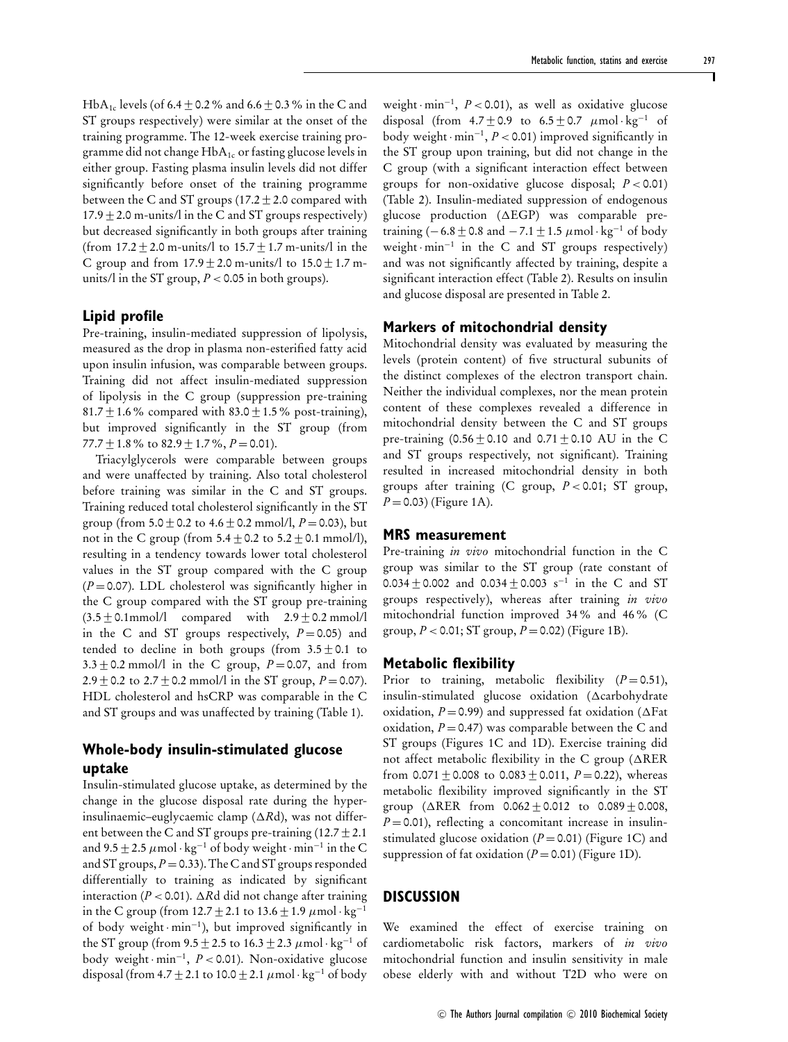HbA<sub>1c</sub> levels (of 6.4  $\pm$  0.2% and 6.6  $\pm$  0.3% in the C and ST groups respectively) were similar at the onset of the training programme. The 12-week exercise training programme did not change HbA<sub>1c</sub> or fasting glucose levels in either group. Fasting plasma insulin levels did not differ significantly before onset of the training programme between the C and ST groups (17.2  $\pm$  2.0 compared with  $17.9 \pm 2.0$  m-units/l in the C and ST groups respectively) but decreased significantly in both groups after training (from  $17.2 \pm 2.0$  m-units/l to  $15.7 \pm 1.7$  m-units/l in the C group and from  $17.9 \pm 2.0$  m-units/l to  $15.0 \pm 1.7$  munits/l in the ST group,  $P < 0.05$  in both groups).

## **Lipid profile**

Pre-training, insulin-mediated suppression of lipolysis, measured as the drop in plasma non-esterified fatty acid upon insulin infusion, was comparable between groups. Training did not affect insulin-mediated suppression of lipolysis in the C group (suppression pre-training 81.7  $\pm$  1.6% compared with 83.0  $\pm$  1.5% post-training), but improved significantly in the ST group (from 77.7  $\pm$  1.8% to 82.9  $\pm$  1.7%, *P* = 0.01).

Triacylglycerols were comparable between groups and were unaffected by training. Also total cholesterol before training was similar in the C and ST groups. Training reduced total cholesterol significantly in the ST group (from  $5.0 \pm 0.2$  to  $4.6 \pm 0.2$  mmol/l,  $P = 0.03$ ), but not in the C group (from  $5.4 \pm 0.2$  to  $5.2 \pm 0.1$  mmol/l), resulting in a tendency towards lower total cholesterol values in the ST group compared with the C group  $(P = 0.07)$ . LDL cholesterol was significantly higher in the C group compared with the ST group pre-training  $(3.5 \pm 0.1$ mmol/l compared with  $2.9 \pm 0.2$  mmol/l in the C and ST groups respectively,  $P = 0.05$ ) and tended to decline in both groups (from  $3.5 \pm 0.1$  to 3.3  $\pm$  0.2 mmol/l in the C group, *P* = 0.07, and from 2.9  $\pm$  0.2 to 2.7  $\pm$  0.2 mmol/l in the ST group, *P* = 0.07). HDL cholesterol and hsCRP was comparable in the C and ST groups and was unaffected by training (Table 1).

## **Whole-body insulin-stimulated glucose uptake**

Insulin-stimulated glucose uptake, as determined by the change in the glucose disposal rate during the hyperinsulinaemic–euglycaemic clamp (∆*R*d), was not different between the C and ST groups pre-training (12.7  $\pm$  2.1 and  $9.5 \pm 2.5 \ \mu$  mol·kg<sup>-1</sup> of body weight · min<sup>-1</sup> in the C and ST groups,  $P = 0.33$ ). The C and ST groups responded differentially to training as indicated by significant interaction (*P* < 0.01).  $\Delta R$ d did not change after training in the C group (from  $12.7 \pm 2.1$  to  $13.6 \pm 1.9$   $\mu$ mol·kg<sup>-1</sup> of body weight · min−1), but improved significantly in the ST group (from  $9.5 \pm 2.5$  to  $16.3 \pm 2.3$  µmol·kg<sup>-1</sup> of body weight · min−1, *P* < 0.01). Non-oxidative glucose disposal (from  $4.7 \pm 2.1$  to  $10.0 \pm 2.1$  µmol·kg<sup>-1</sup> of body weight · min−1, *P* < 0.01), as well as oxidative glucose disposal (from  $4.7 \pm 0.9$  to  $6.5 \pm 0.7$  µmol·kg<sup>-1</sup> of body weight · min−1, *P* < 0.01) improved significantly in the ST group upon training, but did not change in the C group (with a significant interaction effect between groups for non-oxidative glucose disposal; *P* < 0.01) (Table 2). Insulin-mediated suppression of endogenous glucose production  $(\Delta EGP)$  was comparable pretraining (−6.8 ± 0.8 and −7.1 ± 1.5  $\mu$ mol · kg<sup>-1</sup> of body weight  $\cdot$  min<sup>-1</sup> in the C and ST groups respectively) and was not significantly affected by training, despite a significant interaction effect (Table 2). Results on insulin and glucose disposal are presented in Table 2.

## **Markers of mitochondrial density**

Mitochondrial density was evaluated by measuring the levels (protein content) of five structural subunits of the distinct complexes of the electron transport chain. Neither the individual complexes, nor the mean protein content of these complexes revealed a difference in mitochondrial density between the C and ST groups pre-training (0.56  $\pm$  0.10 and 0.71  $\pm$  0.10 AU in the C and ST groups respectively, not significant). Training resulted in increased mitochondrial density in both groups after training (C group, *P* < 0.01; ST group,  $P = 0.03$ ) (Figure 1A).

#### **MRS measurement**

Pre-training *in vivo* mitochondrial function in the C group was similar to the ST group (rate constant of 0.034 + 0.002 and 0.034 + 0.003 s<sup>-1</sup> in the C and ST groups respectively), whereas after training *in vivo* mitochondrial function improved 34% and 46% (C group,  $P < 0.01$ ; ST group,  $P = 0.02$ ) (Figure 1B).

#### **Metabolic flexibility**

Prior to training, metabolic flexibility  $(P=0.51)$ ,  $in$ sulin-stimulated glucose oxidation ( $\Delta$ carbohydrate oxidation,  $P = 0.99$ ) and suppressed fat oxidation ( $\Delta$ Fat oxidation,  $P = 0.47$ ) was comparable between the C and ST groups (Figures 1C and 1D). Exercise training did not affect metabolic flexibility in the C group ( $\triangle RER$ from  $0.071 \pm 0.008$  to  $0.083 \pm 0.011$ ,  $P = 0.22$ ), whereas metabolic flexibility improved significantly in the ST group ( $\triangle RER$  from  $0.062 \pm 0.012$  to  $0.089 \pm 0.008$ ,  $P = 0.01$ , reflecting a concomitant increase in insulinstimulated glucose oxidation  $(P = 0.01)$  (Figure 1C) and suppression of fat oxidation  $(P = 0.01)$  (Figure 1D).

## **DISCUSSION**

We examined the effect of exercise training on cardiometabolic risk factors, markers of *in vivo* mitochondrial function and insulin sensitivity in male obese elderly with and without T2D who were on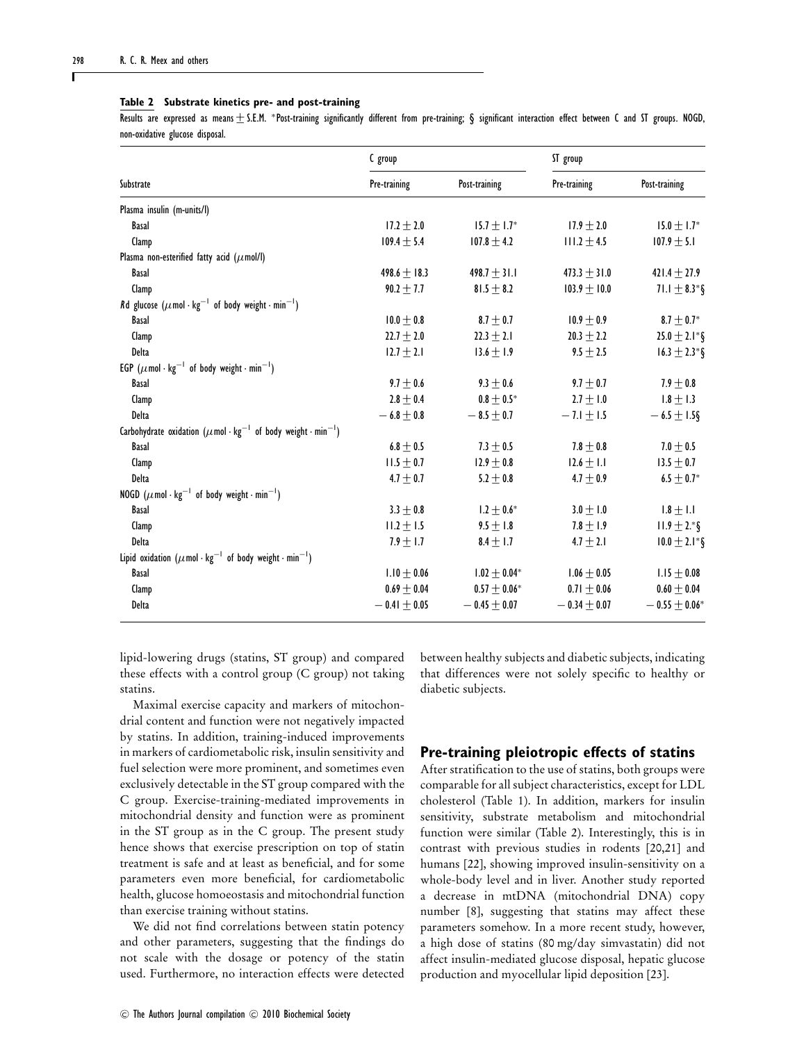#### **Table 2 Substrate kinetics pre- and post-training**

Results are expressed as means ± S.E.M. \*Post-training significantly different from pre-training; § significant interaction effect between C and ST groups. NOGD, non-oxidative glucose disposal.

|                                                                                        | C group          |                  |                  | ST group          |  |
|----------------------------------------------------------------------------------------|------------------|------------------|------------------|-------------------|--|
| Substrate                                                                              | Pre-training     | Post-training    | Pre-training     | Post-training     |  |
| Plasma insulin (m-units/l)                                                             |                  |                  |                  |                   |  |
| <b>Basal</b>                                                                           | $17.2 + 2.0$     | 15.7 $\pm$ 1.7*  | $17.9 \pm 2.0$   | $15.0 \pm 1.7^*$  |  |
| Clamp                                                                                  | $109.4 + 5.4$    | $107.8 \pm 4.2$  | $111.2 \pm 4.5$  | $107.9 \pm 5.1$   |  |
| Plasma non-esterified fatty acid ( $\mu$ mol/l)                                        |                  |                  |                  |                   |  |
| Basal                                                                                  | 498.6 $\pm$ 18.3 | 498.7 $\pm$ 31.1 | $473.3 \pm 31.0$ | 421.4 $\pm$ 27.9  |  |
| Clamp                                                                                  | $90.2 + 7.7$     | $81.5 \pm 8.2$   | $103.9 \pm 10.0$ | 71.1 $\pm$ 8.3*§  |  |
| Rd glucose ( $\mu$ mol·kg <sup>-1</sup> of body weight·min <sup>-1</sup> )             |                  |                  |                  |                   |  |
| Basal                                                                                  | $10.0 + 0.8$     | $8.7 \pm 0.7$    | $10.9 \pm 0.9$   | $8.7 \pm 0.7^*$   |  |
| Clamp                                                                                  | $22.7 + 2.0$     | $22.3 + 2.1$     | $20.3 + 2.2$     | $25.0 \pm 2.1*$ § |  |
| Delta                                                                                  | $12.7 + 2.1$     | $13.6 \pm 1.9$   | $9.5 \pm 2.5$    | $16.3 \pm 2.3*$ § |  |
| EGP ( $\mu$ mol·kg <sup>-1</sup> of body weight·min <sup>-1</sup> )                    |                  |                  |                  |                   |  |
| Basal                                                                                  | $9.7 + 0.6$      | $9.3 + 0.6$      | $9.7 \pm 0.7$    | $7.9 + 0.8$       |  |
| Clamp                                                                                  | $2.8 \pm 0.4$    | $0.8 \pm 0.5^*$  | $2.7 + 1.0$      | $1.8 \pm 1.3$     |  |
| Delta                                                                                  | $-6.8 \pm 0.8$   | $-8.5 \pm 0.7$   | $-7.1 \pm 1.5$   | $-6.5 \pm 1.5$ §  |  |
| Carbohydrate oxidation ( $\mu$ mol·kg <sup>-1</sup> of body weight·min <sup>-1</sup> ) |                  |                  |                  |                   |  |
| Basal                                                                                  | $6.8 \pm 0.5$    | $7.3 \pm 0.5$    | $7.8 \pm 0.8$    | $7.0 \pm 0.5$     |  |
| Clamp                                                                                  | $11.5 + 0.7$     | $12.9 \pm 0.8$   | $12.6 \pm 1.1$   | 13.5 $\pm$ 0.7    |  |
| <b>Delta</b>                                                                           | $4.7 + 0.7$      | $5.2 \pm 0.8$    | $4.7 \pm 0.9$    | $6.5 \pm 0.7^*$   |  |
| NOGD ( $\mu$ mol·kg <sup>-1</sup> of body weight·min <sup>-1</sup> )                   |                  |                  |                  |                   |  |
| Basal                                                                                  | $3.3 + 0.8$      | $1.2 \pm 0.6^*$  | $3.0 \pm 1.0$    | $1.8 \pm 1.1$     |  |
| Clamp                                                                                  | $11.2 + 1.5$     | $9.5 \pm 1.8$    | $7.8 \pm 1.9$    | 11.9 $\pm$ 2.*§   |  |
| Delta                                                                                  | $7.9 + 1.7$      | $8.4 \pm 1.7$    | $4.7 \pm 2.1$    | $10.0 \pm 2.1*$ § |  |
| Lipid oxidation ( $\mu$ mol·kg <sup>-1</sup> of body weight·min <sup>-1</sup> )        |                  |                  |                  |                   |  |
| Basal                                                                                  | $1.10 + 0.06$    | $1.02 \pm 0.04*$ | $1.06 \pm 0.05$  | $1.15 \pm 0.08$   |  |
| Clamp                                                                                  | $0.69 + 0.04$    | $0.57 + 0.06*$   | $0.71 + 0.06$    | $0.60 + 0.04$     |  |
| Delta                                                                                  | $-0.41 + 0.05$   | $-0.45 + 0.07$   | $-0.34 + 0.07$   | $-0.55 + 0.06*$   |  |

lipid-lowering drugs (statins, ST group) and compared these effects with a control group (C group) not taking statins.

Maximal exercise capacity and markers of mitochondrial content and function were not negatively impacted by statins. In addition, training-induced improvements in markers of cardiometabolic risk, insulin sensitivity and fuel selection were more prominent, and sometimes even exclusively detectable in the ST group compared with the C group. Exercise-training-mediated improvements in mitochondrial density and function were as prominent in the ST group as in the C group. The present study hence shows that exercise prescription on top of statin treatment is safe and at least as beneficial, and for some parameters even more beneficial, for cardiometabolic health, glucose homoeostasis and mitochondrial function than exercise training without statins.

We did not find correlations between statin potency and other parameters, suggesting that the findings do not scale with the dosage or potency of the statin used. Furthermore, no interaction effects were detected

between healthy subjects and diabetic subjects, indicating that differences were not solely specific to healthy or diabetic subjects.

## **Pre-training pleiotropic effects of statins**

After stratification to the use of statins, both groups were comparable for all subject characteristics, except for LDL cholesterol (Table 1). In addition, markers for insulin sensitivity, substrate metabolism and mitochondrial function were similar (Table 2). Interestingly, this is in contrast with previous studies in rodents [20,21] and humans [22], showing improved insulin-sensitivity on a whole-body level and in liver. Another study reported a decrease in mtDNA (mitochondrial DNA) copy number [8], suggesting that statins may affect these parameters somehow. In a more recent study, however, a high dose of statins (80 mg/day simvastatin) did not affect insulin-mediated glucose disposal, hepatic glucose production and myocellular lipid deposition [23].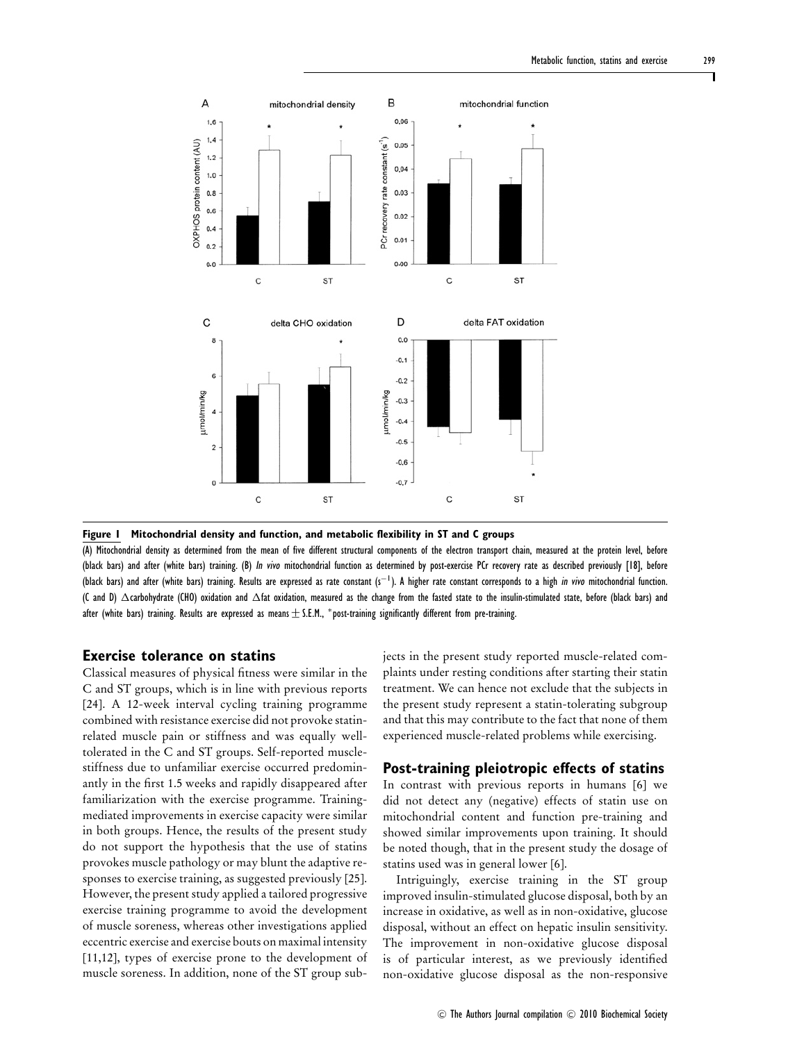

#### **Figure 1 Mitochondrial density and function, and metabolic flexibility in ST and C groups**

(A) Mitochondrial density as determined from the mean of five different structural components of the electron transport chain, measured at the protein level, before (black bars) and after (white bars) training. (B) In vivo mitochondrial function as determined by post-exercise PCr recovery rate as described previously [18], before (black bars) and after (white bars) training. Results are expressed as rate constant (s<sup>−1</sup>). A higher rate constant corresponds to a high *in vivo* mitochondrial function. (C and D)  $\Delta$ carbohydrate (CHO) oxidation and  $\Delta$ fat oxidation, measured as the change from the fasted state to the insulin-stimulated state, before (black bars) and after (white bars) training. Results are expressed as means  $\pm$  S.E.M., \*post-training significantly different from pre-training.

#### **Exercise tolerance on statins**

Classical measures of physical fitness were similar in the C and ST groups, which is in line with previous reports [24]. A 12-week interval cycling training programme combined with resistance exercise did not provoke statinrelated muscle pain or stiffness and was equally welltolerated in the C and ST groups. Self-reported musclestiffness due to unfamiliar exercise occurred predominantly in the first 1.5 weeks and rapidly disappeared after familiarization with the exercise programme. Trainingmediated improvements in exercise capacity were similar in both groups. Hence, the results of the present study do not support the hypothesis that the use of statins provokes muscle pathology or may blunt the adaptive responses to exercise training, as suggested previously [25]. However, the present study applied a tailored progressive exercise training programme to avoid the development of muscle soreness, whereas other investigations applied eccentric exercise and exercise bouts on maximal intensity [11,12], types of exercise prone to the development of muscle soreness. In addition, none of the ST group subjects in the present study reported muscle-related complaints under resting conditions after starting their statin treatment. We can hence not exclude that the subjects in the present study represent a statin-tolerating subgroup and that this may contribute to the fact that none of them experienced muscle-related problems while exercising.

## **Post-training pleiotropic effects of statins**

In contrast with previous reports in humans [6] we did not detect any (negative) effects of statin use on mitochondrial content and function pre-training and showed similar improvements upon training. It should be noted though, that in the present study the dosage of statins used was in general lower [6].

Intriguingly, exercise training in the ST group improved insulin-stimulated glucose disposal, both by an increase in oxidative, as well as in non-oxidative, glucose disposal, without an effect on hepatic insulin sensitivity. The improvement in non-oxidative glucose disposal is of particular interest, as we previously identified non-oxidative glucose disposal as the non-responsive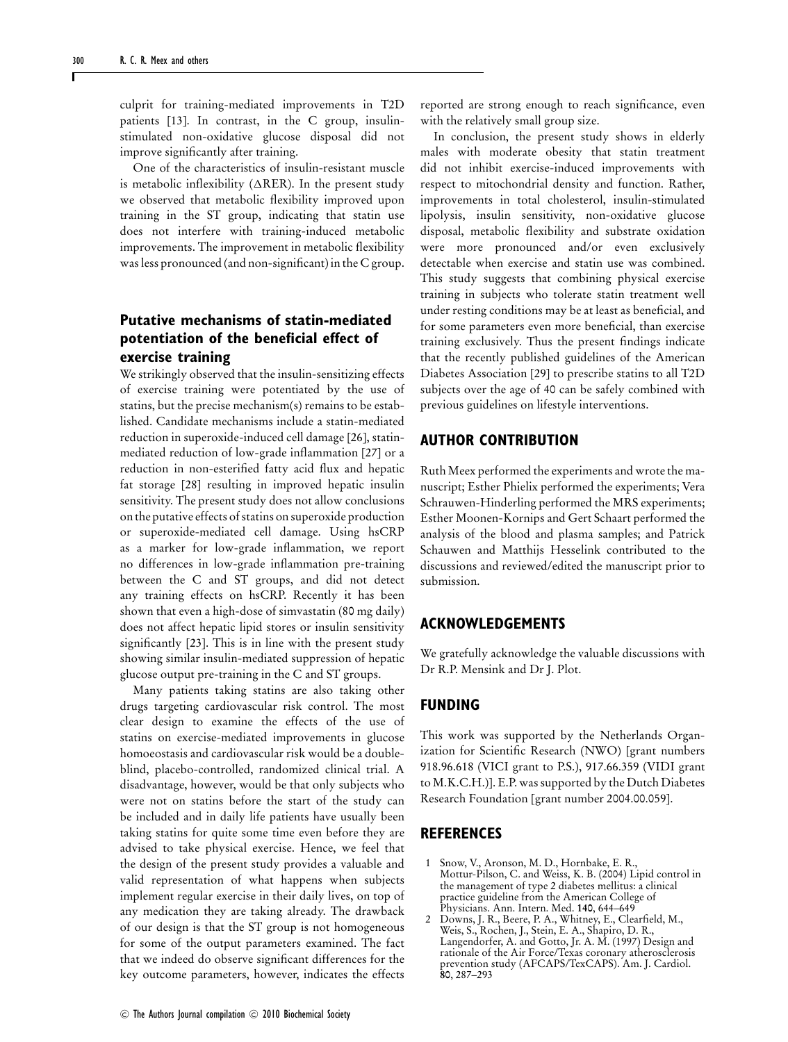culprit for training-mediated improvements in T2D patients [13]. In contrast, in the C group, insulinstimulated non-oxidative glucose disposal did not improve significantly after training.

One of the characteristics of insulin-resistant muscle is metabolic inflexibility ( $\Delta {\rm RER}$ ). In the present study we observed that metabolic flexibility improved upon training in the ST group, indicating that statin use does not interfere with training-induced metabolic improvements. The improvement in metabolic flexibility was less pronounced (and non-significant) in the C group.

## **Putative mechanisms of statin-mediated potentiation of the beneficial effect of exercise training**

We strikingly observed that the insulin-sensitizing effects of exercise training were potentiated by the use of statins, but the precise mechanism(s) remains to be established. Candidate mechanisms include a statin-mediated reduction in superoxide-induced cell damage [26], statinmediated reduction of low-grade inflammation [27] or a reduction in non-esterified fatty acid flux and hepatic fat storage [28] resulting in improved hepatic insulin sensitivity. The present study does not allow conclusions on the putative effects of statins on superoxide production or superoxide-mediated cell damage. Using hsCRP as a marker for low-grade inflammation, we report no differences in low-grade inflammation pre-training between the C and ST groups, and did not detect any training effects on hsCRP. Recently it has been shown that even a high-dose of simvastatin (80 mg daily) does not affect hepatic lipid stores or insulin sensitivity significantly [23]. This is in line with the present study showing similar insulin-mediated suppression of hepatic glucose output pre-training in the C and ST groups.

Many patients taking statins are also taking other drugs targeting cardiovascular risk control. The most clear design to examine the effects of the use of statins on exercise-mediated improvements in glucose homoeostasis and cardiovascular risk would be a doubleblind, placebo-controlled, randomized clinical trial. A disadvantage, however, would be that only subjects who were not on statins before the start of the study can be included and in daily life patients have usually been taking statins for quite some time even before they are advised to take physical exercise. Hence, we feel that the design of the present study provides a valuable and valid representation of what happens when subjects implement regular exercise in their daily lives, on top of any medication they are taking already. The drawback of our design is that the ST group is not homogeneous for some of the output parameters examined. The fact that we indeed do observe significant differences for the key outcome parameters, however, indicates the effects

reported are strong enough to reach significance, even with the relatively small group size.

In conclusion, the present study shows in elderly males with moderate obesity that statin treatment did not inhibit exercise-induced improvements with respect to mitochondrial density and function. Rather, improvements in total cholesterol, insulin-stimulated lipolysis, insulin sensitivity, non-oxidative glucose disposal, metabolic flexibility and substrate oxidation were more pronounced and/or even exclusively detectable when exercise and statin use was combined. This study suggests that combining physical exercise training in subjects who tolerate statin treatment well under resting conditions may be at least as beneficial, and for some parameters even more beneficial, than exercise training exclusively. Thus the present findings indicate that the recently published guidelines of the American Diabetes Association [29] to prescribe statins to all T2D subjects over the age of 40 can be safely combined with previous guidelines on lifestyle interventions.

## **AUTHOR CONTRIBUTION**

Ruth Meex performed the experiments and wrote the manuscript; Esther Phielix performed the experiments; Vera Schrauwen-Hinderling performed the MRS experiments; Esther Moonen-Kornips and Gert Schaart performed the analysis of the blood and plasma samples; and Patrick Schauwen and Matthijs Hesselink contributed to the discussions and reviewed/edited the manuscript prior to submission.

## **ACKNOWLEDGEMENTS**

We gratefully acknowledge the valuable discussions with Dr R.P. Mensink and Dr J. Plot.

### **FUNDING**

This work was supported by the Netherlands Organization for Scientific Research (NWO) [grant numbers 918.96.618 (VICI grant to P.S.), 917.66.359 (VIDI grant to M.K.C.H.)]. E.P. was supported by the Dutch Diabetes Research Foundation [grant number 2004.00.059].

#### **REFERENCES**

- 1 Snow, V., Aronson, M. D., Hornbake, E. R., Mottur-Pilson, C. and Weiss, K. B. (2004) Lipid control in the management of type 2 diabetes mellitus: a clinical practice guideline from the American College of Physicians. Ann. Intern. Med. **140**, 644–649
- 2 Downs, J. R., Beere, P. A., Whitney, E., Clearfield, M., Weis, S., Rochen, J., Stein, E. A., Shapiro, D. R., Langendorfer, A. and Gotto, Jr. A. M. (1997) Design and rationale of the Air Force/Texas coronary atherosclerosis prevention study (AFCAPS/TexCAPS). Am. J. Cardiol. **80**, 287–293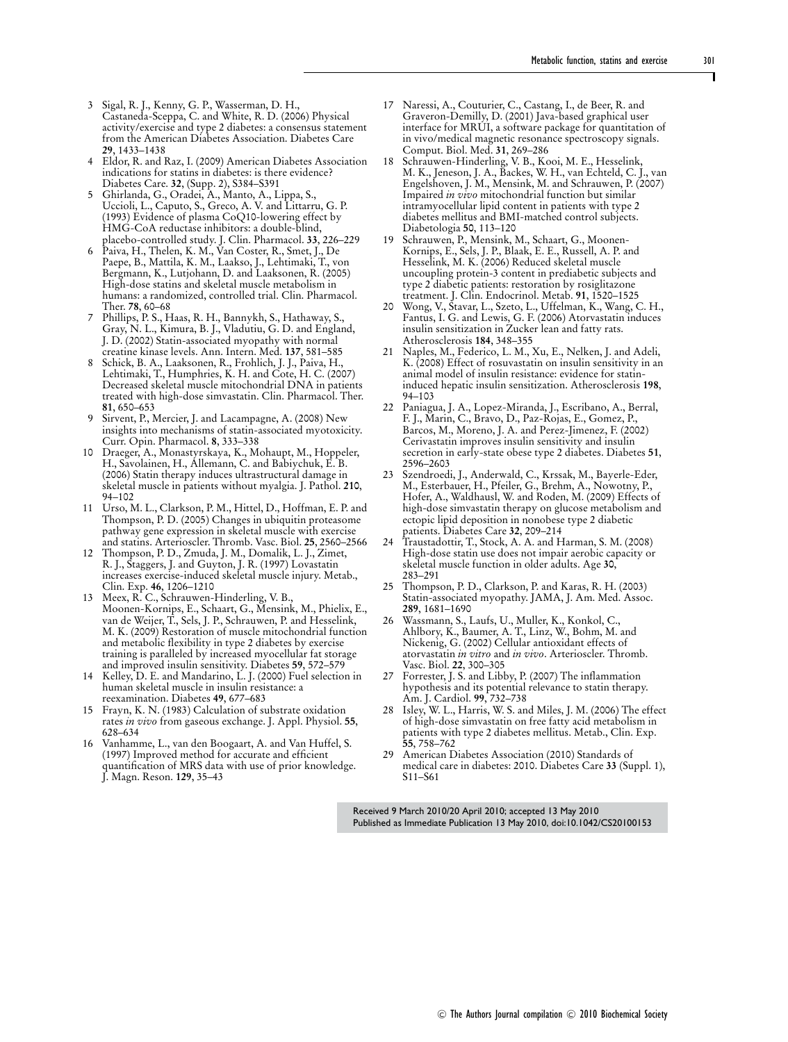- 3 Sigal, R. J., Kenny, G. P., Wasserman, D. H., Castaneda-Sceppa, C. and White, R. D. (2006) Physical activity/exercise and type 2 diabetes: a consensus statement from the American Diabetes Association. Diabetes Care **29**, 1433–1438
- 4 Eldor, R. and Raz, I. (2009) American Diabetes Association indications for statins in diabetes: is there evidence? Diabetes Care. **32**, (Supp. 2), S384–S391
- 5 Ghirlanda, G., Oradei, A., Manto, A., Lippa, S., Uccioli, L., Caputo, S., Greco, A. V. and Littarru, G. P. (1993) Evidence of plasma CoQ10-lowering effect by HMG-CoA reductase inhibitors: a double-blind, placebo-controlled study. J. Clin. Pharmacol. **33**, 226–229
- 6 Paiva, H., Thelen, K. M., Van Coster, R., Smet, J., De Paepe, B., Mattila, K. M., Laakso, J., Lehtimaki, T., von Bergmann, K., Lutjohann, D. and Laaksonen, R. (2005) High-dose statins and skeletal muscle metabolism in humans: a randomized, controlled trial. Clin. Pharmacol. Ther. **78**, 60–68
- 7 Phillips, P. S., Haas, R. H., Bannykh, S., Hathaway, S., Gray, N. L., Kimura, B. J., Vladutiu, G. D. and England, J. D. (2002) Statin-associated myopathy with normal creatine kinase levels. Ann. Intern. Med. **137**, 581–585
- 8 Schick, B. A., Laaksonen, R., Frohlich, J. J., Paiva, H., Lehtimaki, T., Humphries, K. H. and Cote, H. C. (2007) Decreased skeletal muscle mitochondrial DNA in patients treated with high-dose simvastatin. Clin. Pharmacol. Ther. **81**, 650–653
- 9 Sirvent, P., Mercier, J. and Lacampagne, A. (2008) New insights into mechanisms of statin-associated myotoxicity. Curr. Opin. Pharmacol. **8**, 333–338
- 10 Draeger, A., Monastyrskaya, K., Mohaupt, M., Hoppeler, H., Savolainen, H., Allemann, C. and Babiychuk, E. B. (2006) Statin therapy induces ultrastructural damage in skeletal muscle in patients without myalgia. J. Pathol. **210**, 94–102
- 11 Urso, M. L., Clarkson, P. M., Hittel, D., Hoffman, E. P. and Thompson, P. D. (2005) Changes in ubiquitin proteasome pathway gene expression in skeletal muscle with exercise and statins. Arterioscler. Thromb. Vasc. Biol. **25**, 2560–2566
- 12 Thompson, P. D., Zmuda, J. M., Domalik, L. J., Zimet, R. J., Staggers, J. and Guyton, J. R. (1997) Lovastatin increases exercise-induced skeletal muscle injury. Metab., Clin. Exp. **46**, 1206–1210
- 13 Meex, R. C., Schrauwen-Hinderling, V. B., Moonen-Kornips, E., Schaart, G., Mensink, M., Phielix, E., van de Weijer, T., Sels, J. P., Schrauwen, P. and Hesselink, M. K. (2009) Restoration of muscle mitochondrial function and metabolic flexibility in type 2 diabetes by exercise training is paralleled by increased myocellular fat storage and improved insulin sensitivity. Diabetes **59**, 572–579
- Kelley, D. E. and Mandarino, L. J. (2000) Fuel selection in human skeletal muscle in insulin resistance: a reexamination. Diabetes **49**, 677–683
- 15 Frayn, K. N. (1983) Calculation of substrate oxidation rates *in vivo* from gaseous exchange. J. Appl. Physiol. **55**, 628–634
- Vanhamme, L., van den Boogaart, A. and Van Huffel, S. (1997) Improved method for accurate and efficient quantification of MRS data with use of prior knowledge. J. Magn. Reson. **129**, 35–43
- 17 Naressi, A., Couturier, C., Castang, I., de Beer, R. and Graveron-Demilly, D. (2001) Java-based graphical user interface for MRUI, a software package for quantitation of in vivo/medical magnetic resonance spectroscopy signals. Comput. Biol. Med. **31**, 269–286
- 18 Schrauwen-Hinderling, V. B., Kooi, M. E., Hesselink, M. K., Jeneson, J. A., Backes, W. H., van Echteld, C. J., van Engelshoven, J. M., Mensink, M. and Schrauwen, P. (2007) Impaired *in vivo* mitochondrial function but similar intramyocellular lipid content in patients with type 2 diabetes mellitus and BMI-matched control subjects. Diabetologia **50**, 113–120
- 19 Schrauwen, P., Mensink, M., Schaart, G., Moonen-Kornips, E., Sels, J. P., Blaak, E. E., Russell, A. P. and Hesselink, M. K. (2006) Reduced skeletal muscle uncoupling protein-3 content in prediabetic subjects and type 2 diabetic patients: restoration by rosiglitazone treatment. J. Clin. Endocrinol. Metab. **91**, 1520–1525
- 20 Wong, V., Stavar, L., Szeto, L., Uffelman, K., Wang, C. H., Fantus, I. G. and Lewis, G. F. (2006) Atorvastatin induces insulin sensitization in Zucker lean and fatty rats. Atherosclerosis **184**, 348–355
- 21 Naples, M., Federico, L. M., Xu, E., Nelken, J. and Adeli, K. (2008) Effect of rosuvastatin on insulin sensitivity in an animal model of insulin resistance: evidence for statininduced hepatic insulin sensitization. Atherosclerosis **198**, 94–103
- 22 Paniagua, J. A., Lopez-Miranda, J., Escribano, A., Berral, F. J., Marin, C., Bravo, D., Paz-Rojas, E., Gomez, P., Barcos, M., Moreno, J. A. and Perez-Jimenez, F. (2002) Cerivastatin improves insulin sensitivity and insulin secretion in early-state obese type 2 diabetes. Diabetes **51**, 2596–2603
- 23 Szendroedi, J., Anderwald, C., Krssak, M., Bayerle-Eder, M., Esterbauer, H., Pfeiler, G., Brehm, A., Nowotny, P., Hofer, A., Waldhausl, W. and Roden, M. (2009) Effects of high-dose simvastatin therapy on glucose metabolism and ectopic lipid deposition in nonobese type 2 diabetic patients. Diabetes Care **32**, 209–214
- 24 Traustadottir, T., Stock, A. A. and Harman, S. M. (2008) High-dose statin use does not impair aerobic capacity or skeletal muscle function in older adults. Age **30**, 283–291
- 25 Thompson, P. D., Clarkson, P. and Karas, R. H. (2003) Statin-associated myopathy. JAMA, J. Am. Med. Assoc. **289**, 1681–1690
- 26 Wassmann, S., Laufs, U., Muller, K., Konkol, C., Ahlbory, K., Baumer, A. T., Linz, W., Bohm, M. and Nickenig, G. (2002) Cellular antioxidant effects of atorvastatin *in vitro* and *in vivo*. Arterioscler. Thromb. Vasc. Biol. **22**, 300–305
- Forrester, J. S. and Libby, P. (2007) The inflammation hypothesis and its potential relevance to statin therapy. Am. J. Cardiol. **99**, 732–738
- 28 Isley, W. L., Harris, W. S. and Miles, J. M. (2006) The effect of high-dose simvastatin on free fatty acid metabolism in patients with type 2 diabetes mellitus. Metab., Clin. Exp. **55**, 758–762
- 29 American Diabetes Association (2010) Standards of medical care in diabetes: 2010. Diabetes Care **33** (Suppl. 1), S11–S61

Received 9 March 2010/20 April 2010; accepted 13 May 2010 Published as Immediate Publication 13 May 2010, doi:10.1042/CS20100153